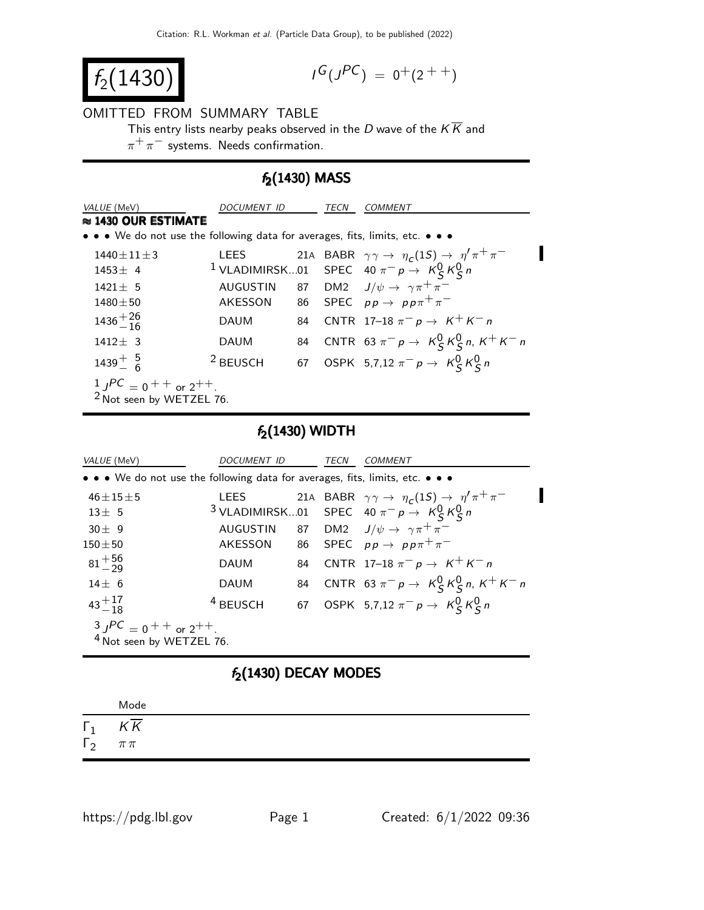$$
f_2(1430)
$$

$$
I^G(J^{PC}) = 0^+(2^{++})
$$

#### OMITTED FROM SUMMARY TABLE

This entry lists nearby peaks observed in the D wave of the  $K\overline{K}$  and

 $\pi^+ \pi^-$  systems. Needs confirmation.

### $f_2(1430)$  MASS

| VALUE (MeV)                                                                                                           | DOCUMENT ID         |  | TECN | <i>COMMENT</i>                                                                |  |  |  |
|-----------------------------------------------------------------------------------------------------------------------|---------------------|--|------|-------------------------------------------------------------------------------|--|--|--|
| $\approx$ 1430 OUR ESTIMATE                                                                                           |                     |  |      |                                                                               |  |  |  |
| $\bullet \bullet \bullet$ We do not use the following data for averages, fits, limits, etc. $\bullet \bullet \bullet$ |                     |  |      |                                                                               |  |  |  |
| $1440 + 11 + 3$                                                                                                       | LEES                |  |      | 21A BABR $\gamma \gamma \rightarrow \eta_c(1S) \rightarrow \eta' \pi^+ \pi^-$ |  |  |  |
| $1453 + 4$                                                                                                            |                     |  |      | <sup>1</sup> VLADIMIRSK01 SPEC 40 $\pi^- p \rightarrow K_S^0 K_S^0 n$         |  |  |  |
| $1421 + 5$                                                                                                            | <b>AUGUSTIN</b>     |  |      | 87 DM2 $J/\psi \rightarrow \gamma \pi^+ \pi^-$                                |  |  |  |
| $1480 + 50$                                                                                                           |                     |  |      | AKESSON 86 SPEC $pp \rightarrow pp \pi^+ \pi^-$                               |  |  |  |
| $1436 + \frac{26}{16}$                                                                                                | <b>DAUM</b>         |  |      | 84 CNTR 17-18 $\pi^- p \to K^+ K^- n$                                         |  |  |  |
| $1412 \pm 3$                                                                                                          | <b>DAUM</b>         |  |      | 84 CNTR 63 $\pi^- p \to K_S^0 K_S^0 n$ , $K^+ K^- n$                          |  |  |  |
| $1439^{+}_{-6}$                                                                                                       | <sup>2</sup> BEUSCH |  |      | 67 OSPK 5,7,12 $\pi^- p \to K_S^0 K_S^0 n$                                    |  |  |  |
|                                                                                                                       |                     |  |      |                                                                               |  |  |  |
| $\frac{1}{2}$ $\int$ $\frac{PC}{P}$ = 0 + + or 2 + + .<br>$\frac{2 \text{ Not seen by WETZEL 76.}}{P}$                |                     |  |      |                                                                               |  |  |  |

### $f_2(1430)$  WIDTH

| VALUE (MeV)                                                                   | DOCUMENT ID         |  | TECN | <i>COMMENT</i>                                                                |  |  |
|-------------------------------------------------------------------------------|---------------------|--|------|-------------------------------------------------------------------------------|--|--|
| • • • We do not use the following data for averages, fits, limits, etc. • • • |                     |  |      |                                                                               |  |  |
| $46 \pm 15 \pm 5$                                                             | <b>LEES</b>         |  |      | 21A BABR $\gamma \gamma \rightarrow \eta_c(1S) \rightarrow \eta' \pi^+ \pi^-$ |  |  |
| $13 + 5$                                                                      |                     |  |      | <sup>3</sup> VLADIMIRSK01 SPEC 40 $\pi^- p \rightarrow K_S^0 K_S^0 n$         |  |  |
| $30 \pm 9$                                                                    |                     |  |      | AUGUSTIN 87 DM2 $J/\psi \rightarrow \gamma \pi^+ \pi^-$                       |  |  |
| $150 + 50$                                                                    |                     |  |      | AKESSON 86 SPEC $pp \rightarrow pp \pi^+ \pi^-$                               |  |  |
| $81^{+56}_{-29}$                                                              | <b>DAUM</b>         |  |      | 84 CNTR 17-18 $\pi^- p \to K^+ K^- n$                                         |  |  |
| $14 + 6$                                                                      | <b>DAUM</b>         |  |      | 84 CNTR 63 $\pi^- p \to K_S^0 K_S^0 n$ , $K^+ K^- n$                          |  |  |
| $43^{+17}_{-18}$                                                              | <sup>4</sup> BEUSCH |  |      | 67 OSPK 5,7,12 $\pi^- p \to K^0_S K^0_S n$                                    |  |  |
|                                                                               |                     |  |      |                                                                               |  |  |
| $3 JPC = 0 + +$ or $2^{++}$ .<br>4 Not seen by WETZEL 76.                     |                     |  |      |                                                                               |  |  |

# $f_2(1430)$  DECAY MODES

|              | Mode       |
|--------------|------------|
| $\Gamma_1$   | KK         |
| $\Gamma_{2}$ | $\pi\,\pi$ |